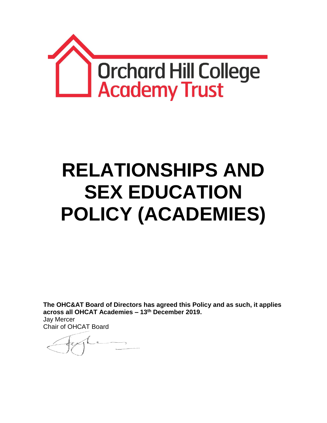

# **RELATIONSHIPS AND SEX EDUCATION POLICY (ACADEMIES)**

**The OHC&AT Board of Directors has agreed this Policy and as such, it applies across all OHCAT Academies – 13th December 2019.** Jay Mercer Chair of OHCAT Board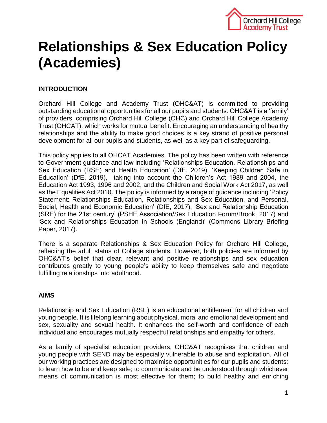

# **Relationships & Sex Education Policy (Academies)**

# **INTRODUCTION**

Orchard Hill College and Academy Trust (OHC&AT) is committed to providing outstanding educational opportunities for all our pupils and students. OHC&AT is a 'family' of providers, comprising Orchard Hill College (OHC) and Orchard Hill College Academy Trust (OHCAT), which works for mutual benefit. Encouraging an understanding of healthy relationships and the ability to make good choices is a key strand of positive personal development for all our pupils and students, as well as a key part of safeguarding.

This policy applies to all OHCAT Academies. The policy has been written with reference to Government guidance and law including 'Relationships Education, Relationships and Sex Education (RSE) and Health Education' (DfE, 2019), 'Keeping Children Safe in Education' (DfE, 2019), taking into account the Children's Act 1989 and 2004, the Education Act 1993, 1996 and 2002, and the Children and Social Work Act 2017, as well as the Equalities Act 2010. The policy is informed by a range of guidance including 'Policy Statement: Relationships Education, Relationships and Sex Education, and Personal, Social, Health and Economic Education' (DfE, 2017), 'Sex and Relationship Education (SRE) for the 21st century' (PSHE Association/Sex Education Forum/Brook, 2017) and 'Sex and Relationships Education in Schools (England)' (Commons Library Briefing Paper, 2017).

There is a separate Relationships & Sex Education Policy for Orchard Hill College, reflecting the adult status of College students. However, both policies are informed by OHC&AT's belief that clear, relevant and positive relationships and sex education contributes greatly to young people's ability to keep themselves safe and negotiate fulfilling relationships into adulthood.

# **AIMS**

Relationship and Sex Education (RSE) is an educational entitlement for all children and young people. It is lifelong learning about physical, moral and emotional development and sex, sexuality and sexual health. It enhances the self-worth and confidence of each individual and encourages mutually respectful relationships and empathy for others.

As a family of specialist education providers, OHC&AT recognises that children and young people with SEND may be especially vulnerable to abuse and exploitation. All of our working practices are designed to maximise opportunities for our pupils and students: to learn how to be and keep safe; to communicate and be understood through whichever means of communication is most effective for them; to build healthy and enriching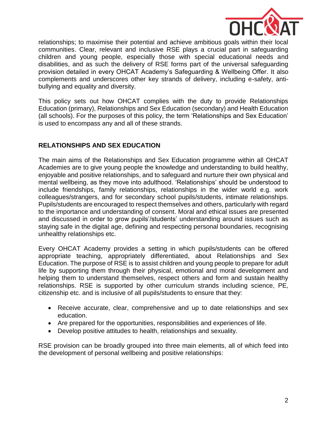

relationships; to maximise their potential and achieve ambitious goals within their local communities. Clear, relevant and inclusive RSE plays a crucial part in safeguarding children and young people, especially those with special educational needs and disabilities, and as such the delivery of RSE forms part of the universal safeguarding provision detailed in every OHCAT Academy's Safeguarding & Wellbeing Offer. It also complements and underscores other key strands of delivery, including e-safety, antibullying and equality and diversity.

This policy sets out how OHCAT complies with the duty to provide Relationships Education (primary), Relationships and Sex Education (secondary) and Health Education (all schools). For the purposes of this policy, the term 'Relationships and Sex Education' is used to encompass any and all of these strands.

# **RELATIONSHIPS AND SEX EDUCATION**

The main aims of the Relationships and Sex Education programme within all OHCAT Academies are to give young people the knowledge and understanding to build healthy, enjoyable and positive relationships, and to safeguard and nurture their own physical and mental wellbeing, as they move into adulthood. 'Relationships' should be understood to include friendships, family relationships, relationships in the wider world e.g. work colleagues/strangers, and for secondary school pupils/students, intimate relationships. Pupils/students are encouraged to respect themselves and others, particularly with regard to the importance and understanding of consent. Moral and ethical issues are presented and discussed in order to grow pupils'/students' understanding around issues such as staying safe in the digital age, defining and respecting personal boundaries, recognising unhealthy relationships etc.

Every OHCAT Academy provides a setting in which pupils/students can be offered appropriate teaching, appropriately differentiated, about Relationships and Sex Education. The purpose of RSE is to assist children and young people to prepare for adult life by supporting them through their physical, emotional and moral development and helping them to understand themselves, respect others and form and sustain healthy relationships. RSE is supported by other curriculum strands including science, PE, citizenship etc. and is inclusive of all pupils/students to ensure that they:

- Receive accurate, clear, comprehensive and up to date relationships and sex education.
- Are prepared for the opportunities, responsibilities and experiences of life.
- Develop positive attitudes to health, relationships and sexuality.

RSE provision can be broadly grouped into three main elements, all of which feed into the development of personal wellbeing and positive relationships: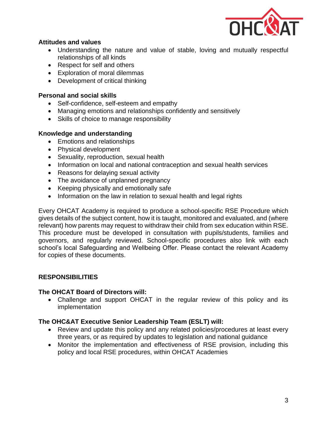

# **Attitudes and values**

- Understanding the nature and value of stable, loving and mutually respectful relationships of all kinds
- Respect for self and others
- Exploration of moral dilemmas
- Development of critical thinking

# **Personal and social skills**

- Self-confidence, self-esteem and empathy
- Managing emotions and relationships confidently and sensitively
- Skills of choice to manage responsibility

#### **Knowledge and understanding**

- Emotions and relationships
- Physical development
- Sexuality, reproduction, sexual health
- Information on local and national contraception and sexual health services
- Reasons for delaying sexual activity
- The avoidance of unplanned pregnancy
- Keeping physically and emotionally safe
- Information on the law in relation to sexual health and legal rights

Every OHCAT Academy is required to produce a school-specific RSE Procedure which gives details of the subject content, how it is taught, monitored and evaluated, and (where relevant) how parents may request to withdraw their child from sex education within RSE. This procedure must be developed in consultation with pupils/students, families and governors, and regularly reviewed. School-specific procedures also link with each school's local Safeguarding and Wellbeing Offer. Please contact the relevant Academy for copies of these documents.

# **RESPONSIBILITIES**

#### **The OHCAT Board of Directors will:**

 Challenge and support OHCAT in the regular review of this policy and its implementation

#### **The OHC&AT Executive Senior Leadership Team (ESLT) will:**

- Review and update this policy and any related policies/procedures at least every three years, or as required by updates to legislation and national guidance
- Monitor the implementation and effectiveness of RSE provision, including this policy and local RSE procedures, within OHCAT Academies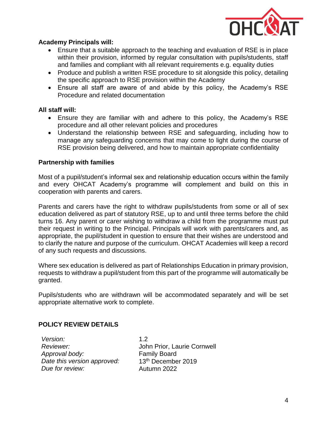

# **Academy Principals will:**

- Ensure that a suitable approach to the teaching and evaluation of RSE is in place within their provision, informed by regular consultation with pupils/students, staff and families and compliant with all relevant requirements e.g. equality duties
- Produce and publish a written RSE procedure to sit alongside this policy, detailing the specific approach to RSE provision within the Academy
- Ensure all staff are aware of and abide by this policy, the Academy's RSE Procedure and related documentation

# **All staff will:**

- Ensure they are familiar with and adhere to this policy, the Academy's RSE procedure and all other relevant policies and procedures
- Understand the relationship between RSE and safeguarding, including how to manage any safeguarding concerns that may come to light during the course of RSE provision being delivered, and how to maintain appropriate confidentiality

# **Partnership with families**

Most of a pupil/student's informal sex and relationship education occurs within the family and every OHCAT Academy's programme will complement and build on this in cooperation with parents and carers.

Parents and carers have the right to withdraw pupils/students from some or all of sex education delivered as part of statutory RSE, up to and until three terms before the child turns 16. Any parent or carer wishing to withdraw a child from the programme must put their request in writing to the Principal. Principals will work with parents/carers and, as appropriate, the pupil/student in question to ensure that their wishes are understood and to clarify the nature and purpose of the curriculum. OHCAT Academies will keep a record of any such requests and discussions.

Where sex education is delivered as part of Relationships Education in primary provision, requests to withdraw a pupil/student from this part of the programme will automatically be granted.

Pupils/students who are withdrawn will be accommodated separately and will be set appropriate alternative work to complete.

# **POLICY REVIEW DETAILS**

*Version:* 1.2 *Reviewer:* John Prior, Laurie Cornwell *Approval body:* Family Board *Date this version approved:* 13th December 2019 *Due for review:* Autumn 2022